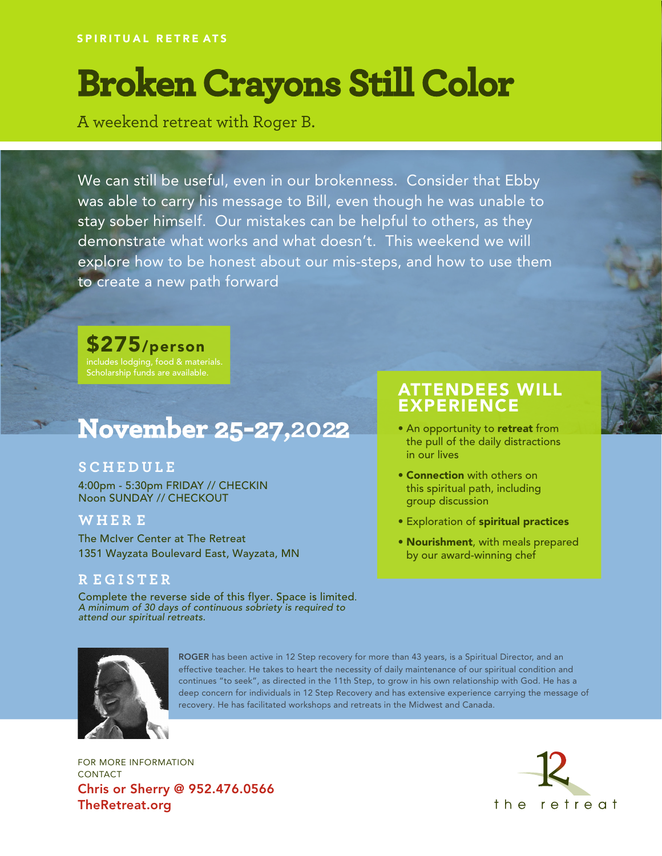# **Broken Crayons Still Color**

A weekend retreat with Roger B.

We can still be useful, even in our brokenness. Consider that Ebby was able to carry his message to Bill, even though he was unable to stay sober himself. Our mistakes can be helpful to others, as they demonstrate what works and what doesn't. This weekend we will explore how to be honest about our mis-steps, and how to use them to create a new path forward

## \$275/person

includes lodging, food & materials. Scholarship funds are available.

# **November 25-27,202 2**

#### **S C H E DULE**

4:00pm - 5:30pm FRIDAY // CHECKIN Noon SUNDAY // CHECKOUT

#### **W H E R E**

The McIver Center at The Retreat 1351 Wayzata Boulevard East, Wayzata, MN

#### **R E GISTER**

Complete the reverse side of this flyer. Space is limited. A minimum of 30 days of continuous sobriety is required to attend our spiritual retreats.

### ATTENDEES WILL EXPERIENCE

- An opportunity to retreat from the pull of the daily distractions in our lives
- Connection with others on this spiritual path, including group discussion
- Exploration of spiritual practices
- Nourishment, with meals prepared by our award-winning chef



ROGER has been active in 12 Step recovery for more than 43 years, is a Spiritual Director, and an effective teacher. He takes to heart the necessity of daily maintenance of our spiritual condition and continues "to seek", as directed in the 11th Step, to grow in his own relationship with God. He has a deep concern for individuals in 12 Step Recovery and has extensive experience carrying the message of recovery. He has facilitated workshops and retreats in the Midwest and Canada.

FOR MORE INFORMATION CONTACT Chris or Sherry @ 952.476.0566 TheRetreat.org